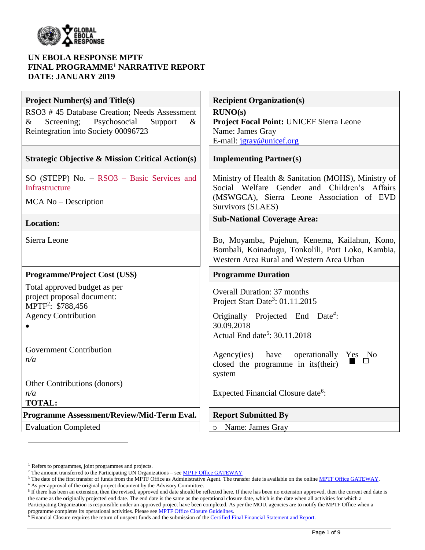

### **UN EBOLA RESPONSE MPTF FINAL PROGRAMME<sup>1</sup> NARRATIVE REPORT DATE: JANUARY 2019**

| <b>Project Number(s) and Title(s)</b>                             | <b>Recipient Organization(s)</b>                                                                                                                |
|-------------------------------------------------------------------|-------------------------------------------------------------------------------------------------------------------------------------------------|
| RSO3 #45 Database Creation; Needs Assessment                      | RUNO(s)                                                                                                                                         |
| Psychosocial<br>Screening;<br>$\&$<br>$\&$<br>Support             | Project Focal Point: UNICEF Sierra Leone                                                                                                        |
| Reintegration into Society 00096723                               | Name: James Gray                                                                                                                                |
|                                                                   | E-mail: jgray@unicef.org                                                                                                                        |
| <b>Strategic Objective &amp; Mission Critical Action(s)</b>       | <b>Implementing Partner(s)</b>                                                                                                                  |
| $SO(STEPP)$ No. $-$ RSO3 $-$ Basic Services and<br>Infrastructure | Ministry of Health & Sanitation (MOHS), Ministry of<br>Social Welfare Gender and Children's Affairs                                             |
| MCA No – Description                                              | (MSWGCA), Sierra Leone Association of EVD<br>Survivors (SLAES)                                                                                  |
| <b>Location:</b>                                                  | <b>Sub-National Coverage Area:</b>                                                                                                              |
| Sierra Leone                                                      | Bo, Moyamba, Pujehun, Kenema, Kailahun, Kono,<br>Bombali, Koinadugu, Tonkolili, Port Loko, Kambia,<br>Western Area Rural and Western Area Urban |
| <b>Programme/Project Cost (US\$)</b>                              | <b>Programme Duration</b>                                                                                                                       |
| Total approved budget as per                                      |                                                                                                                                                 |
| project proposal document:                                        | <b>Overall Duration: 37 months</b>                                                                                                              |
| MPTF <sup>2</sup> : \$788,456                                     | Project Start Date <sup>3</sup> : 01.11.2015                                                                                                    |
| <b>Agency Contribution</b>                                        | Originally Projected End Date <sup>4</sup> :                                                                                                    |
|                                                                   | 30.09.2018                                                                                                                                      |
|                                                                   | Actual End date <sup>5</sup> : $30.11.2018$                                                                                                     |
| <b>Government Contribution</b>                                    |                                                                                                                                                 |
| n/a                                                               | Agency(ies) have<br>operationally Yes No                                                                                                        |
|                                                                   | closed the programme in its (their)                                                                                                             |
| Other Contributions (donors)                                      | system                                                                                                                                          |
| n/a                                                               | Expected Financial Closure date <sup>6</sup> :                                                                                                  |
| <b>TOTAL:</b>                                                     |                                                                                                                                                 |
| Programme Assessment/Review/Mid-Term Eval.                        | <b>Report Submitted By</b>                                                                                                                      |
| <b>Evaluation Completed</b>                                       | Name: James Gray<br>$\circ$                                                                                                                     |

 $\overline{a}$ 

<sup>&</sup>lt;sup>1</sup> Refers to programmes, joint programmes and projects.

<sup>&</sup>lt;sup>2</sup> The amount transferred to the Participating UN Organizations – see **MPTF Office GATEWAY** 

<sup>&</sup>lt;sup>3</sup> The date of the first transfer of funds from the MPTF Office as Administrative Agent. The transfer date is available on the online [MPTF Office GATEWAY.](http://mdtf.undp.org/)

<sup>4</sup> As per approval of the original project document by the Advisory Committee.

 $5$  If there has been an extension, then the revised, approved end date should be reflected here. If there has been no extension approved, then the current end date is the same as the originally projected end date. The end date is the same as the operational closure date, which is the date when all activities for which a Participating Organization is responsible under an approved project have been completed. As per the MOU, agencies are to notify the MPTF Office when a programme completes its operational activities. Please see **MPTF Office Closure Guidelines**.

<sup>&</sup>lt;sup>6</sup> Financial Closure requires the return of unspent funds and the submission of th[e Certified Final Financial Statement and Report.](http://mdtf.undp.org/document/download/5388)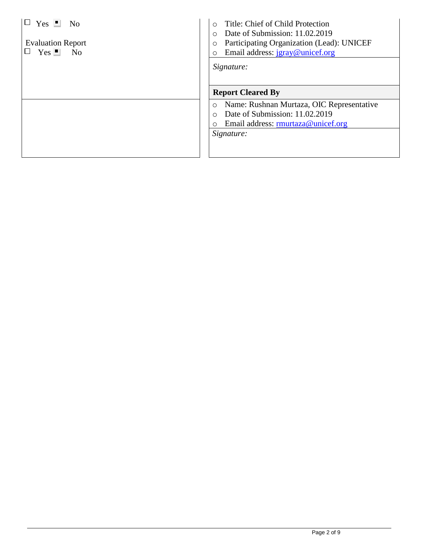| $Yes \perp No$<br><b>Evaluation Report</b><br>$Yes \nightharpoonup No$ | Title: Chief of Child Protection<br>$\circ$<br>Date of Submission: 11.02.2019<br>O<br>Participating Organization (Lead): UNICEF<br>O<br>Email address: jgray@unicef.org<br>O<br>Signature: |
|------------------------------------------------------------------------|--------------------------------------------------------------------------------------------------------------------------------------------------------------------------------------------|
|                                                                        | <b>Report Cleared By</b>                                                                                                                                                                   |
|                                                                        | Name: Rushnan Murtaza, OIC Representative<br>O<br>Date of Submission: 11.02.2019<br>$\bigcirc$<br>Email address: rmurtaza@unicef.org<br>Ο<br>Signature:                                    |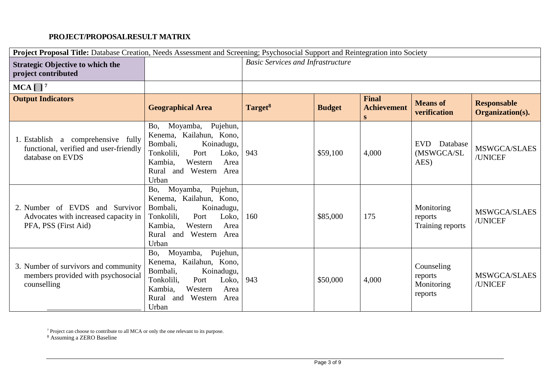# **PROJECT/PROPOSALRESULT MATRIX**

| Project Proposal Title: Database Creation, Needs Assessment and Screening; Psychosocial Support and Reintegration into Society |                                                                                                                                                                                        |                                          |               |                                         |                                                |                                        |
|--------------------------------------------------------------------------------------------------------------------------------|----------------------------------------------------------------------------------------------------------------------------------------------------------------------------------------|------------------------------------------|---------------|-----------------------------------------|------------------------------------------------|----------------------------------------|
| <b>Strategic Objective to which the</b><br>project contributed                                                                 |                                                                                                                                                                                        | <b>Basic Services and Infrastructure</b> |               |                                         |                                                |                                        |
| $MCA$ [ ] <sup>7</sup>                                                                                                         |                                                                                                                                                                                        |                                          |               |                                         |                                                |                                        |
| <b>Output Indicators</b>                                                                                                       | <b>Geographical Area</b>                                                                                                                                                               | Target <sup>8</sup>                      | <b>Budget</b> | <b>Final</b><br><b>Achievement</b><br>S | <b>Means of</b><br>verification                | <b>Responsable</b><br>Organization(s). |
| 1. Establish a comprehensive fully<br>functional, verified and user-friendly<br>database on EVDS                               | Pujehun,<br>Moyamba,<br>Bo,<br>Kenema, Kailahun, Kono,<br>Bombali,<br>Koinadugu,<br>Tonkolili,<br>Port<br>Loko,<br>Kambia,<br>Western<br>Area<br>and Western Area<br>Rural<br>Urban    | 943                                      | \$59,100      | 4,000                                   | Database<br><b>EVD</b><br>(MSWGCA/SL<br>AES)   | MSWGCA/SLAES<br>/UNICEF                |
| 2. Number of EVDS and Survivor<br>Advocates with increased capacity in<br>PFA, PSS (First Aid)                                 | Pujehun,<br>Moyamba,<br>Bo,<br>Kenema, Kailahun, Kono,<br>Koinadugu,<br>Bombali,<br>Port<br>Tonkolili,<br>Loko,<br>Kambia.<br>Area<br>Western<br>and Western<br>Rural<br>Area<br>Urban | 160                                      | \$85,000      | 175                                     | Monitoring<br>reports<br>Training reports      | MSWGCA/SLAES<br>/UNICEF                |
| 3. Number of survivors and community<br>members provided with psychosocial<br>counselling                                      | Moyamba,<br>Pujehun,<br>Bo,<br>Kenema, Kailahun, Kono,<br>Bombali,<br>Koinadugu,<br>Tonkolili,<br>Port<br>Loko,<br>Kambia,<br>Western<br>Area<br>and Western<br>Area<br>Rural<br>Urban | 943                                      | \$50,000      | 4,000                                   | Counseling<br>reports<br>Monitoring<br>reports | MSWGCA/SLAES<br>/UNICEF                |

 $7$  Project can choose to contribute to all MCA or only the one relevant to its purpose.

<sup>8</sup> Assuming a ZERO Baseline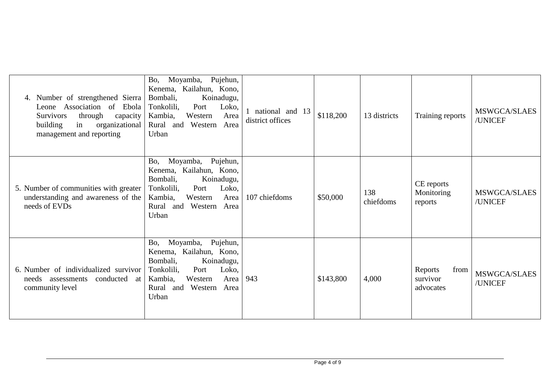| Number of strengthened Sierra<br>Association<br>of Ebola<br>Leone<br>through<br><b>Survivors</b><br>capacity<br>organizational<br>in<br>building<br>management and reporting | Pujehun,<br>Moyamba,<br>Bo,<br>Kenema, Kailahun, Kono,<br>Bombali,<br>Koinadugu,<br>Tonkolili,<br>Port<br>Loko,<br>Kambia,<br>Western<br>Area<br>Rural and Western<br>Area<br>Urban       | national and 13<br>district offices | \$118,200 | 13 districts     | Training reports                         | MSWGCA/SLAES<br>/UNICEF |
|------------------------------------------------------------------------------------------------------------------------------------------------------------------------------|-------------------------------------------------------------------------------------------------------------------------------------------------------------------------------------------|-------------------------------------|-----------|------------------|------------------------------------------|-------------------------|
| 5. Number of communities with greater<br>understanding and awareness of the<br>needs of EVDs                                                                                 | Pujehun,<br>Moyamba,<br>Bo,<br>Kenema, Kailahun, Kono,<br>Bombali,<br>Koinadugu,<br>Port<br>Loko,<br>Tonkolili,<br>Kambia,<br>Western<br>Area<br>Rural and Western<br>Area<br>Urban       | 107 chiefdoms                       | \$50,000  | 138<br>chiefdoms | CE reports<br>Monitoring<br>reports      | MSWGCA/SLAES<br>/UNICEF |
| 6. Number of individualized survivor<br>conducted at<br>needs assessments<br>community level                                                                                 | Pujehun,<br>Moyamba,<br>Bo,<br>Kenema, Kailahun, Kono,<br>Bombali,<br>Koinadugu,<br>Port<br>Tonkolili,<br>Loko,<br>Kambia,<br>Western<br>Area<br>Western<br>Area<br>Rural<br>and<br>Urban | 943                                 | \$143,800 | 4,000            | Reports<br>from<br>survivor<br>advocates | MSWGCA/SLAES<br>/UNICEF |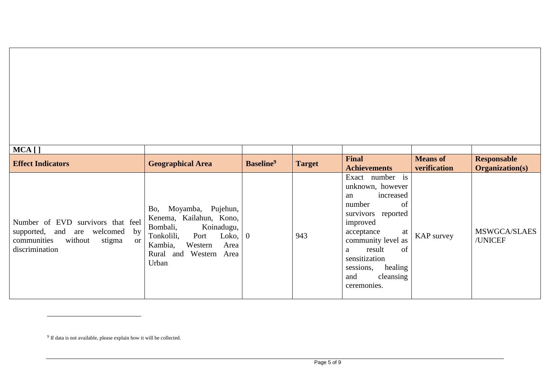| $MCA$ [ ]                                                                                                                                        |                                                                                                                                                                                                        |                       |               |                                                                                                                                                                                                                                                        |                                 |                                              |
|--------------------------------------------------------------------------------------------------------------------------------------------------|--------------------------------------------------------------------------------------------------------------------------------------------------------------------------------------------------------|-----------------------|---------------|--------------------------------------------------------------------------------------------------------------------------------------------------------------------------------------------------------------------------------------------------------|---------------------------------|----------------------------------------------|
| <b>Effect Indicators</b>                                                                                                                         | <b>Geographical Area</b>                                                                                                                                                                               | Baseline <sup>9</sup> | <b>Target</b> | <b>Final</b><br><b>Achievements</b>                                                                                                                                                                                                                    | <b>Means of</b><br>verification | <b>Responsable</b><br><b>Organization(s)</b> |
| Number of EVD<br>survivors that feel<br>supported, and are welcomed<br>by<br>communities<br>without<br>stigma<br><sub>or</sub><br>discrimination | Moyamba, Pujehun,<br>Bo,<br>Kenema, Kailahun, Kono,<br>Koinadugu,<br>Bombali,<br>Tonkolili,<br>Loko, $\vert 0 \vert$<br>Port<br>Kambia,<br>Western<br>Area<br>Western<br>Rural<br>and<br>Area<br>Urban |                       | 943           | Exact number is<br>unknown, however<br>increased<br>an<br>of<br>number<br>survivors<br>reported<br>improved<br>acceptance<br>at<br>community level as<br>of<br>result<br>a<br>sensitization<br>healing<br>sessions,<br>cleansing<br>and<br>ceremonies. | KAP survey                      | <b>MSWGCA/SLAES</b><br>/UNICEF               |

l

<sup>&</sup>lt;sup>9</sup> If data is not available, please explain how it will be collected.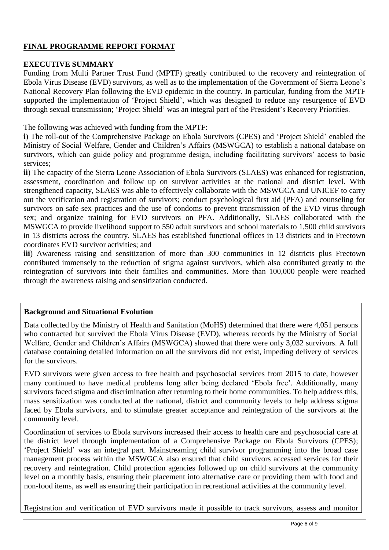## **FINAL PROGRAMME REPORT FORMAT**

#### **EXECUTIVE SUMMARY**

Funding from Multi Partner Trust Fund (MPTF) greatly contributed to the recovery and reintegration of Ebola Virus Disease (EVD) survivors, as well as to the implementation of the Government of Sierra Leone's National Recovery Plan following the EVD epidemic in the country. In particular, funding from the MPTF supported the implementation of 'Project Shield', which was designed to reduce any resurgence of EVD through sexual transmission; 'Project Shield' was an integral part of the President's Recovery Priorities.

The following was achieved with funding from the MPTF:

**i**) The roll-out of the Comprehensive Package on Ebola Survivors (CPES) and 'Project Shield' enabled the Ministry of Social Welfare, Gender and Children's Affairs (MSWGCA) to establish a national database on survivors, which can guide policy and programme design, including facilitating survivors' access to basic services;

**ii**) The capacity of the Sierra Leone Association of Ebola Survivors (SLAES) was enhanced for registration, assessment, coordination and follow up on survivor activities at the national and district level. With strengthened capacity, SLAES was able to effectively collaborate with the MSWGCA and UNICEF to carry out the verification and registration of survivors; conduct psychological first aid (PFA) and counseling for survivors on safe sex practices and the use of condoms to prevent transmission of the EVD virus through sex; and organize training for EVD survivors on PFA. Additionally, SLAES collaborated with the MSWGCA to provide livelihood support to 550 adult survivors and school materials to 1,500 child survivors in 13 districts across the country. SLAES has established functional offices in 13 districts and in Freetown coordinates EVD survivor activities; and

**iii**) Awareness raising and sensitization of more than 300 communities in 12 districts plus Freetown contributed immensely to the reduction of stigma against survivors, which also contributed greatly to the reintegration of survivors into their families and communities. More than 100,000 people were reached through the awareness raising and sensitization conducted.

### **Background and Situational Evolution**

Data collected by the Ministry of Health and Sanitation (MoHS) determined that there were 4,051 persons who contracted but survived the Ebola Virus Disease (EVD), whereas records by the Ministry of Social Welfare, Gender and Children's Affairs (MSWGCA) showed that there were only 3,032 survivors. A full database containing detailed information on all the survivors did not exist, impeding delivery of services for the survivors.

EVD survivors were given access to free health and psychosocial services from 2015 to date, however many continued to have medical problems long after being declared 'Ebola free'. Additionally, many survivors faced stigma and discrimination after returning to their home communities. To help address this, mass sensitization was conducted at the national, district and community levels to help address stigma faced by Ebola survivors, and to stimulate greater acceptance and reintegration of the survivors at the community level.

Coordination of services to Ebola survivors increased their access to health care and psychosocial care at the district level through implementation of a Comprehensive Package on Ebola Survivors (CPES); 'Project Shield' was an integral part. Mainstreaming child survivor programming into the broad case management process within the MSWGCA also ensured that child survivors accessed services for their recovery and reintegration. Child protection agencies followed up on child survivors at the community level on a monthly basis, ensuring their placement into alternative care or providing them with food and non-food items, as well as ensuring their participation in recreational activities at the community level.

Registration and verification of EVD survivors made it possible to track survivors, assess and monitor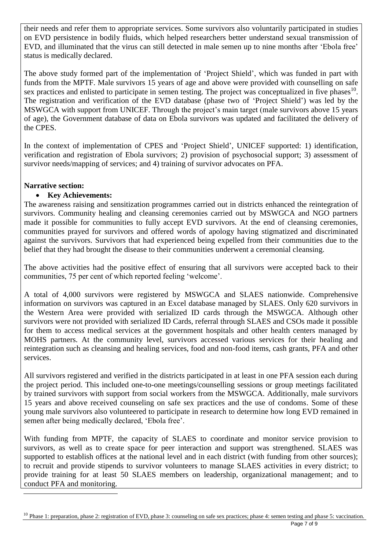their needs and refer them to appropriate services. Some survivors also voluntarily participated in studies on EVD persistence in bodily fluids, which helped researchers better understand sexual transmission of EVD, and illuminated that the virus can still detected in male semen up to nine months after 'Ebola free' status is medically declared.

The above study formed part of the implementation of 'Project Shield', which was funded in part with funds from the MPTF. Male survivors 15 years of age and above were provided with counselling on safe sex practices and enlisted to participate in semen testing. The project was conceptualized in five phases $10$ . The registration and verification of the EVD database (phase two of 'Project Shield') was led by the MSWGCA with support from UNICEF. Through the project's main target (male survivors above 15 years of age), the Government database of data on Ebola survivors was updated and facilitated the delivery of the CPES.

In the context of implementation of CPES and 'Project Shield', UNICEF supported: 1) identification, verification and registration of Ebola survivors; 2) provision of psychosocial support; 3) assessment of survivor needs/mapping of services; and 4) training of survivor advocates on PFA.

### **Narrative section:**

<u>.</u>

## • **Key Achievements:**

The awareness raising and sensitization programmes carried out in districts enhanced the reintegration of survivors. Community healing and cleansing ceremonies carried out by MSWGCA and NGO partners made it possible for communities to fully accept EVD survivors. At the end of cleansing ceremonies, communities prayed for survivors and offered words of apology having stigmatized and discriminated against the survivors. Survivors that had experienced being expelled from their communities due to the belief that they had brought the disease to their communities underwent a ceremonial cleansing.

The above activities had the positive effect of ensuring that all survivors were accepted back to their communities, 75 per cent of which reported feeling 'welcome'.

A total of 4,000 survivors were registered by MSWGCA and SLAES nationwide. Comprehensive information on survivors was captured in an Excel database managed by SLAES. Only 620 survivors in the Western Area were provided with serialized ID cards through the MSWGCA. Although other survivors were not provided with serialized ID Cards, referral through SLAES and CSOs made it possible for them to access medical services at the government hospitals and other health centers managed by MOHS partners. At the community level, survivors accessed various services for their healing and reintegration such as cleansing and healing services, food and non-food items, cash grants, PFA and other services.

All survivors registered and verified in the districts participated in at least in one PFA session each during the project period. This included one-to-one meetings/counselling sessions or group meetings facilitated by trained survivors with support from social workers from the MSWGCA. Additionally, male survivors 15 years and above received counseling on safe sex practices and the use of condoms. Some of these young male survivors also volunteered to participate in research to determine how long EVD remained in semen after being medically declared, 'Ebola free'.

With funding from MPTF, the capacity of SLAES to coordinate and monitor service provision to survivors, as well as to create space for peer interaction and support was strengthened. SLAES was supported to establish offices at the national level and in each district (with funding from other sources); to recruit and provide stipends to survivor volunteers to manage SLAES activities in every district; to provide training for at least 50 SLAES members on leadership, organizational management; and to conduct PFA and monitoring.

<sup>10</sup> Phase 1: preparation, phase 2: registration of EVD, phase 3: counseling on safe sex practices; phase 4: semen testing and phase 5: vaccination.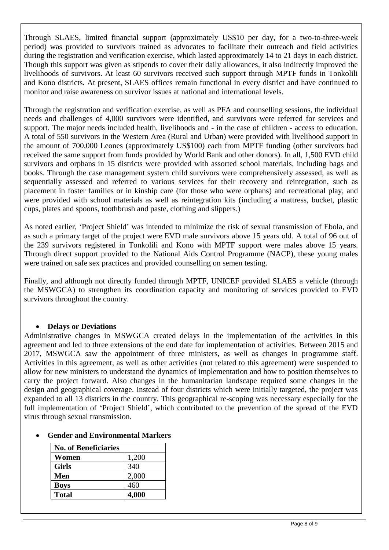Through SLAES, limited financial support (approximately US\$10 per day, for a two-to-three-week period) was provided to survivors trained as advocates to facilitate their outreach and field activities during the registration and verification exercise, which lasted approximately 14 to 21 days in each district. Though this support was given as stipends to cover their daily allowances, it also indirectly improved the livelihoods of survivors. At least 60 survivors received such support through MPTF funds in Tonkolili and Kono districts. At present, SLAES offices remain functional in every district and have continued to monitor and raise awareness on survivor issues at national and international levels.

Through the registration and verification exercise, as well as PFA and counselling sessions, the individual needs and challenges of 4,000 survivors were identified, and survivors were referred for services and support. The major needs included health, livelihoods and - in the case of children - access to education. A total of 550 survivors in the Western Area (Rural and Urban) were provided with livelihood support in the amount of 700,000 Leones (approximately US\$100) each from MPTF funding (other survivors had received the same support from funds provided by World Bank and other donors). In all, 1,500 EVD child survivors and orphans in 15 districts were provided with assorted school materials, including bags and books. Through the case management system child survivors were comprehensively assessed, as well as sequentially assessed and referred to various services for their recovery and reintegration, such as placement in foster families or in kinship care (for those who were orphans) and recreational play, and were provided with school materials as well as reintegration kits (including a mattress, bucket, plastic cups, plates and spoons, toothbrush and paste, clothing and slippers.)

As noted earlier, 'Project Shield' was intended to minimize the risk of sexual transmission of Ebola, and as such a primary target of the project were EVD male survivors above 15 years old. A total of 96 out of the 239 survivors registered in Tonkolili and Kono with MPTF support were males above 15 years. Through direct support provided to the National Aids Control Programme (NACP), these young males were trained on safe sex practices and provided counselling on semen testing.

Finally, and although not directly funded through MPTF, UNICEF provided SLAES a vehicle (through the MSWGCA) to strengthen its coordination capacity and monitoring of services provided to EVD survivors throughout the country.

### • **Delays or Deviations**

Administrative changes in MSWGCA created delays in the implementation of the activities in this agreement and led to three extensions of the end date for implementation of activities. Between 2015 and 2017, MSWGCA saw the appointment of three ministers, as well as changes in programme staff. Activities in this agreement, as well as other activities (not related to this agreement) were suspended to allow for new ministers to understand the dynamics of implementation and how to position themselves to carry the project forward. Also changes in the humanitarian landscape required some changes in the design and geographical coverage. Instead of four districts which were initially targeted, the project was expanded to all 13 districts in the country. This geographical re-scoping was necessary especially for the full implementation of 'Project Shield', which contributed to the prevention of the spread of the EVD virus through sexual transmission.

### • **Gender and Environmental Markers**

| <b>No. of Beneficiaries</b> |       |
|-----------------------------|-------|
| Women                       | 1,200 |
| <b>Girls</b>                | 340   |
| Men                         | 2,000 |
| <b>Boys</b>                 | 460   |
| <b>Total</b>                | 4,000 |